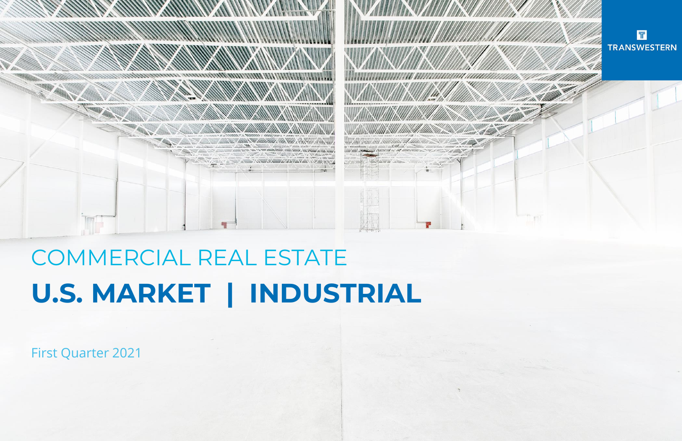First Quarter 2021



# COMMERCIAL REAL ESTATE **U.S. MARKET | INDUSTRIAL**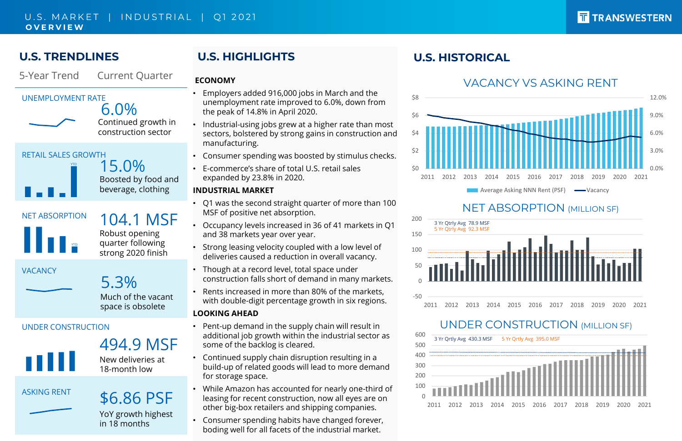# **U.S. TRENDLINES**

# **U.S. HIGHLIGHTS**

### **ECONOMY**

- Employers added 916,000 jobs in March and the unemployment rate improved to 6.0%, down from the peak of 14.8% in April 2020.
- Industrial-using jobs grew at a higher rate than most sectors, bolstered by strong gains in construction and manufacturing.
- Consumer spending was boosted by stimulus checks.
- E-commerce's share of total U.S. retail sales expanded by 23.8% in 2020.

### **INDUSTRIAL MARKET**

- Q1 was the second straight quarter of more than 100 MSF of positive net absorption.
- Occupancy levels increased in 36 of 41 markets in Q1 and 38 markets year over year.
- Strong leasing velocity coupled with a low level of deliveries caused a reduction in overall vacancy.
- Though at a record level, total space under construction falls short of demand in many markets.
- Rents increased in more than 80% of the markets, with double-digit percentage growth in six regions.





# T TRANSWESTERN

ASKING RENT \$6.86 PSF YoY growth highest in 18 months

### U.S. MARKET | INDUSTRIAL | Q1 2021 **O V E R V I E W**

### **LOOKING AHEAD**

# 5-Year Trend Current Quarter **VACANCY** 5.3% Much of the vacant space is obsolete NET ABSORPTION 104.1 MSF Robust opening quarter following strong 2020 finish UNDER CONSTRUCTION 494.9 MSF New deliveries at 18-month low YTD UNEMPLOYMENT RATE 6.0% Continued growth in construction sector RETAIL SALES GROWTH 15.0% Boosted by food and beverage, clothing YTD



- Pent-up demand in the supply chain will result in additional job growth within the industrial sector as some of the backlog is cleared.
- Continued supply chain disruption resulting in a build-up of related goods will lead to more demand for storage space.
- While Amazon has accounted for nearly one-third of leasing for recent construction, now all eyes are on other big-box retailers and shipping companies.
- Consumer spending habits have changed forever, boding well for all facets of the industrial market.



# UNDER CONSTRUCTION (MILLION SF)

# **U.S. HISTORICAL**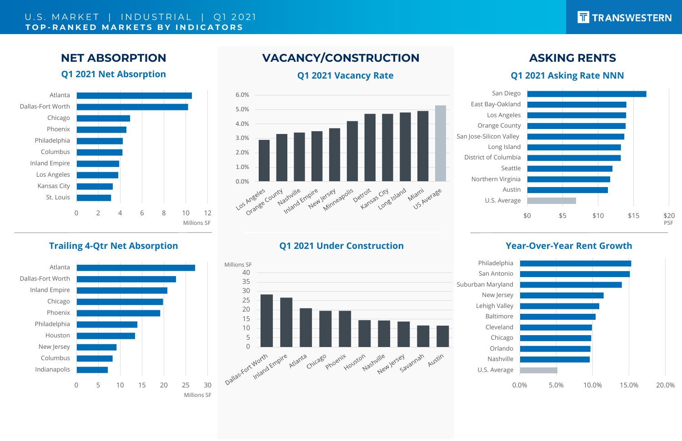**NET ABSORPTION**

# **VACANCY/CONSTRUCTION ASKING RENTS**

### **Trailing 4-Qtr Net Absorption Q1 2021 Under Construction**

### **Q1 2021 Vacancy Rate**

### **Year-Over-Year Rent Growth**

# **Q1 2021 Net Absorption**  0 2 4 6 8 10 12 St. Louis Kansas City Los Angeles Inland Empire Columbus Philadelphia Phoenix Chicago Dallas-Fort Worth Atlanta

## **Q1 2021 Asking Rate NNN**



### U.S. MARKET | INDUSTRIAL | Q1 2021 **T O P - R A N K E D M A R K E T S B Y I N D I C A T O R S**

Northern Virginia District of Columbia San Jose-Silicon Valley Orange County East Bay-Oakland









U.S. Average Nashville Cleveland Baltimore Lehigh Valley New Jersey Suburban Maryland San Antonio

# TRANSWESTERN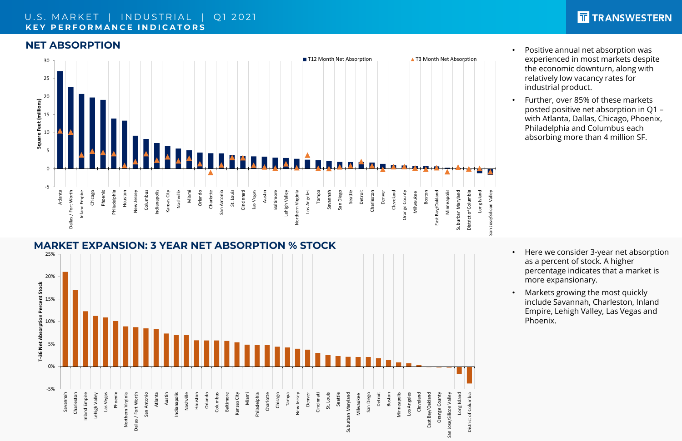

### U.S. MARKET | INDUSTRIAL | Q1 2021 **K E Y P E R F O R M A N C E I N D I C A T O R S**

### **NET ABSORPTION**



- Positive annual net absorption was experienced in most markets despite the economic downturn, along with relatively low vacancy rates for industrial product.
- Further, over 85% of these markets posted positive net absorption in Q1 – with Atlanta, Dallas, Chicago, Phoenix, Philadelphia and Columbus each absorbing more than 4 million SF.

- Here we consider 3-year net absorption as a percent of stock. A higher percentage indicates that a market is more expansionary.
- Markets growing the most quickly include Savannah, Charleston, Inland Empire, Lehigh Valley, Las Vegas and Phoenix.

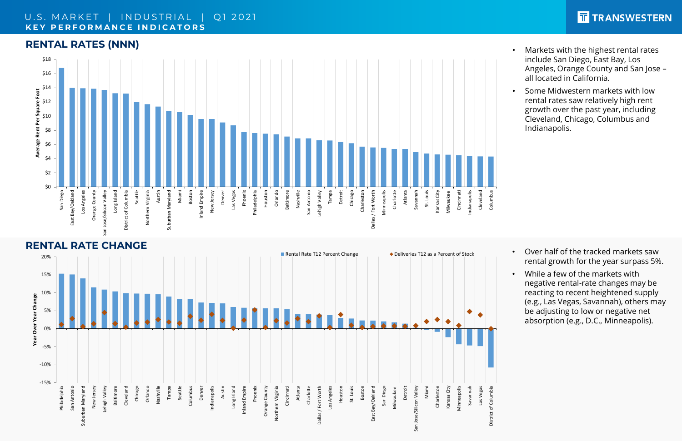## **RENTAL RATES (NNN)**

### U.S. MARKET | INDUSTRIAL | Q1 2021 **K E Y P E R F O R M A N C E I N D I C A T O R S**

### **RENTAL RATE CHANGE**

- Markets with the highest rental rates include San Diego, East Bay, Los Angeles, Orange County and San Jose – all located in California.
- Some Midwestern markets with low rental rates saw relatively high rent growth over the past year, including Cleveland, Chicago, Columbus and Indianapolis.

- Over half of the tracked markets saw rental growth for the year surpass 5%.
- While a few of the markets with negative rental-rate changes may be reacting to recent heightened supply (e.g., Las Vegas, Savannah), others may be adjusting to low or negative net absorption (e.g., D.C., Minneapolis).





# T TRANSWESTERN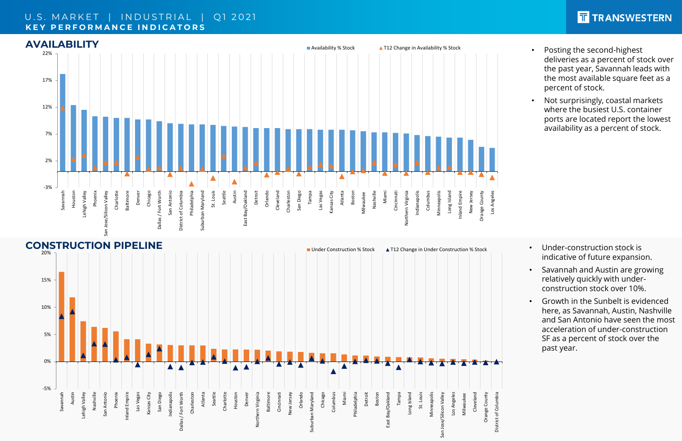### U.S. MARKET | INDUSTRIAL | Q1 2021 **K E Y P E R F O R M A N C E I N D I C A T O R S**



- Posting the second-highest deliveries as a percent of stock over the past year, Savannah leads with the most available square feet as a percent of stock.
- Not surprisingly, coastal markets where the busiest U.S. container ports are located report the lowest availability as a percent of stock.

- Under-construction stock is indicative of future expansion.
- Savannah and Austin are growing relatively quickly with underconstruction stock over 10%.
- Growth in the Sunbelt is evidenced here, as Savannah, Austin, Nashville and San Antonio have seen the most acceleration of under-construction SF as a percent of stock over the past year.

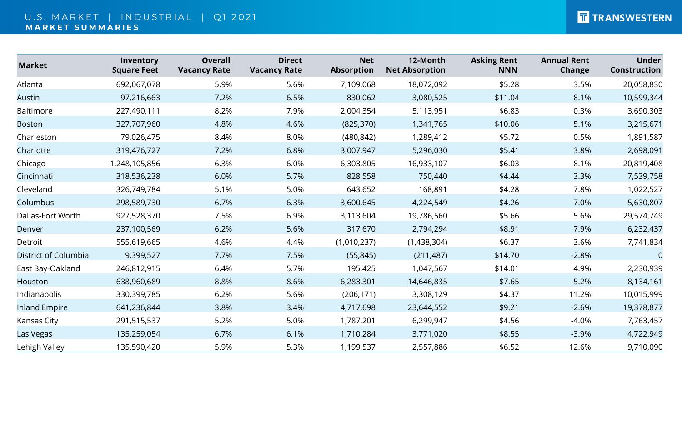### U.S. MARKET | INDUSTRIAL | Q1 2021 **M A R K E T S U M M A R I E S**

| <b>Market</b>        | Inventory<br><b>Square Feet</b> | <b>Overall</b><br><b>Vacancy Rate</b> | <b>Direct</b><br><b>Vacancy Rate</b> | <b>Net</b><br><b>Absorption</b> | 12-Month<br><b>Net Absorption</b> | <b>Asking Rent</b><br><b>NNN</b> | <b>Annual Rent</b><br><b>Change</b> | <b>Under</b><br><b>Construction</b> |
|----------------------|---------------------------------|---------------------------------------|--------------------------------------|---------------------------------|-----------------------------------|----------------------------------|-------------------------------------|-------------------------------------|
| Atlanta              | 692,067,078                     | 5.9%                                  | 5.6%                                 | 7,109,068                       | 18,072,092                        | \$5.28                           | 3.5%                                | 20,058,830                          |
| <b>Austin</b>        | 97,216,663                      | 7.2%                                  | 6.5%                                 | 830,062                         | 3,080,525                         | \$11.04                          | 8.1%                                | 10,599,344                          |
| <b>Baltimore</b>     | 227,490,111                     | 8.2%                                  | 7.9%                                 | 2,004,354                       | 5,113,951                         | \$6.83                           | 0.3%                                | 3,690,303                           |
| <b>Boston</b>        | 327,707,960                     | 4.8%                                  | 4.6%                                 | (825, 370)                      | 1,341,765                         | \$10.06                          | 5.1%                                | 3,215,671                           |
| Charleston           | 79,026,475                      | 8.4%                                  | 8.0%                                 | (480, 842)                      | 1,289,412                         | \$5.72                           | 0.5%                                | 1,891,587                           |
| Charlotte            | 319,476,727                     | 7.2%                                  | 6.8%                                 | 3,007,947                       | 5,296,030                         | \$5.41                           | 3.8%                                | 2,698,091                           |
| Chicago              | ,248,105,856                    | 6.3%                                  | 6.0%                                 | 6,303,805                       | 16,933,107                        | \$6.03                           | 8.1%                                | 20,819,408                          |
| Cincinnati           | 318,536,238                     | 6.0%                                  | 5.7%                                 | 828,558                         | 750,440                           | \$4.44                           | 3.3%                                | 7,539,758                           |
| Cleveland            | 326,749,784                     | 5.1%                                  | 5.0%                                 | 643,652                         | 168,891                           | \$4.28                           | 7.8%                                | 1,022,527                           |
| Columbus             | 298,589,730                     | 6.7%                                  | 6.3%                                 | 3,600,645                       | 4,224,549                         | \$4.26                           | 7.0%                                | 5,630,807                           |
| Dallas-Fort Worth    | 927,528,370                     | 7.5%                                  | 6.9%                                 | 3,113,604                       | 19,786,560                        | \$5.66                           | 5.6%                                | 29,574,749                          |
| Denver               | 237,100,569                     | 6.2%                                  | 5.6%                                 | 317,670                         | 2,794,294                         | \$8.91                           | 7.9%                                | 6,232,437                           |
| Detroit              | 555,619,665                     | 4.6%                                  | 4.4%                                 | (1,010,237)                     | (1,438,304)                       | \$6.37                           | 3.6%                                | 7,741,834                           |
| District of Columbia | 9,399,527                       | 7.7%                                  | 7.5%                                 | (55, 845)                       | (211, 487)                        | \$14.70                          | $-2.8%$                             | $\overline{0}$                      |
| East Bay-Oakland     | 246,812,915                     | 6.4%                                  | 5.7%                                 | 195,425                         | 1,047,567                         | \$14.01                          | 4.9%                                | 2,230,939                           |
| Houston              | 638,960,689                     | 8.8%                                  | 8.6%                                 | 6,283,301                       | 14,646,835                        | \$7.65                           | 5.2%                                | 8,134,161                           |
| Indianapolis         | 330,399,785                     | 6.2%                                  | 5.6%                                 | (206, 171)                      | 3,308,129                         | \$4.37                           | 11.2%                               | 10,015,999                          |
| <b>Inland Empire</b> | 641,236,844                     | 3.8%                                  | 3.4%                                 | 4,717,698                       | 23,644,552                        | \$9.21                           | $-2.6%$                             | 19,378,877                          |
| Kansas City          | 291,515,537                     | 5.2%                                  | 5.0%                                 | 1,787,201                       | 6,299,947                         | \$4.56                           | $-4.0\%$                            | 7,763,457                           |
| Las Vegas            | 135,259,054                     | 6.7%                                  | 6.1%                                 | 1,710,284                       | 3,771,020                         | \$8.55                           | $-3.9%$                             | 4,722,949                           |
| Lehigh Valley        | 135,590,420                     | 5.9%                                  | 5.3%                                 | 1,199,537                       | 2,557,886                         | \$6.52                           | 12.6%                               | 9,710,090                           |

# T TRANSWESTERN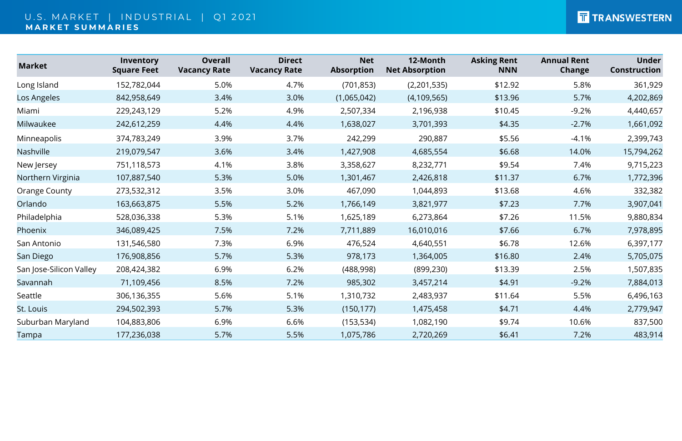### U.S. MARKET | INDUSTRIAL | Q1 2021 **M A R K E T S U M M A R I E S**

| <b>Market</b>           | Inventory<br><b>Square Feet</b> | <b>Overall</b><br><b>Vacancy Rate</b> | <b>Direct</b><br><b>Vacancy Rate</b> | <b>Net</b><br><b>Absorption</b> | 12-Month<br><b>Net Absorption</b> | <b>Asking Rent</b><br><b>NNN</b> | <b>Annual Rent</b><br><b>Change</b> | <b>Under</b><br>Construction |
|-------------------------|---------------------------------|---------------------------------------|--------------------------------------|---------------------------------|-----------------------------------|----------------------------------|-------------------------------------|------------------------------|
| Long Island             | 152,782,044                     | 5.0%                                  | 4.7%                                 | (701, 853)                      | (2,201,535)                       | \$12.92                          | 5.8%                                | 361,929                      |
| Los Angeles             | 842,958,649                     | 3.4%                                  | 3.0%                                 | (1,065,042)                     | (4, 109, 565)                     | \$13.96                          | 5.7%                                | 4,202,869                    |
| Miami                   | 229,243,129                     | 5.2%                                  | 4.9%                                 | 2,507,334                       | 2,196,938                         | \$10.45                          | $-9.2%$                             | 4,440,657                    |
| Milwaukee               | 242,612,259                     | 4.4%                                  | 4.4%                                 | 1,638,027                       | 3,701,393                         | \$4.35                           | $-2.7%$                             | 1,661,092                    |
| Minneapolis             | 374,783,249                     | 3.9%                                  | 3.7%                                 | 242,299                         | 290,887                           | \$5.56                           | $-4.1%$                             | 2,399,743                    |
| Nashville               | 219,079,547                     | 3.6%                                  | 3.4%                                 | 1,427,908                       | 4,685,554                         | \$6.68                           | 14.0%                               | 15,794,262                   |
| New Jersey              | 751,118,573                     | 4.1%                                  | 3.8%                                 | 3,358,627                       | 8,232,771                         | \$9.54                           | 7.4%                                | 9,715,223                    |
| Northern Virginia       | 107,887,540                     | 5.3%                                  | 5.0%                                 | 1,301,467                       | 2,426,818                         | \$11.37                          | 6.7%                                | 1,772,396                    |
| <b>Orange County</b>    | 273,532,312                     | 3.5%                                  | 3.0%                                 | 467,090                         | 1,044,893                         | \$13.68                          | 4.6%                                | 332,382                      |
| Orlando                 | 163,663,875                     | 5.5%                                  | 5.2%                                 | 1,766,149                       | 3,821,977                         | \$7.23                           | 7.7%                                | 3,907,041                    |
| Philadelphia            | 528,036,338                     | 5.3%                                  | 5.1%                                 | 1,625,189                       | 6,273,864                         | \$7.26                           | 11.5%                               | 9,880,834                    |
| Phoenix                 | 346,089,425                     | 7.5%                                  | 7.2%                                 | 7,711,889                       | 16,010,016                        | \$7.66                           | 6.7%                                | 7,978,895                    |
| San Antonio             | 131,546,580                     | 7.3%                                  | 6.9%                                 | 476,524                         | 4,640,551                         | \$6.78                           | 12.6%                               | 6,397,177                    |
| San Diego               | 176,908,856                     | 5.7%                                  | 5.3%                                 | 978,173                         | 1,364,005                         | \$16.80                          | 2.4%                                | 5,705,075                    |
| San Jose-Silicon Valley | 208,424,382                     | 6.9%                                  | 6.2%                                 | (488, 998)                      | (899, 230)                        | \$13.39                          | 2.5%                                | 1,507,835                    |
| Savannah                | 71,109,456                      | 8.5%                                  | 7.2%                                 | 985,302                         | 3,457,214                         | \$4.91                           | $-9.2%$                             | 7,884,013                    |
| Seattle                 | 306,136,355                     | 5.6%                                  | 5.1%                                 | 1,310,732                       | 2,483,937                         | \$11.64                          | 5.5%                                | 6,496,163                    |
| St. Louis               | 294,502,393                     | 5.7%                                  | 5.3%                                 | (150, 177)                      | 1,475,458                         | \$4.71                           | 4.4%                                | 2,779,947                    |
| Suburban Maryland       | 104,883,806                     | 6.9%                                  | 6.6%                                 | (153, 534)                      | 1,082,190                         | \$9.74                           | 10.6%                               | 837,500                      |
| Tampa                   | 177,236,038                     | 5.7%                                  | 5.5%                                 | 1,075,786                       | 2,720,269                         | \$6.41                           | 7.2%                                | 483,914                      |

# T TRANSWESTERN